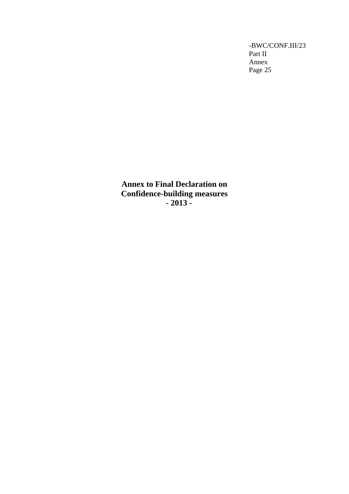**Annex to Final Declaration on Confidence-building measures - 2013 -**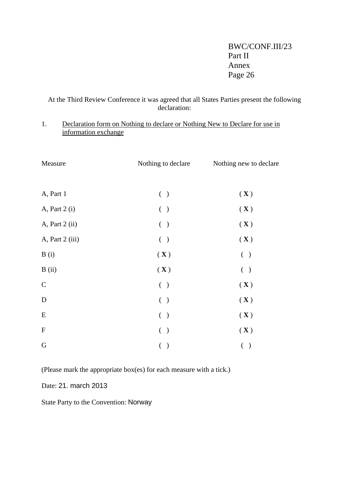At the Third Review Conference it was agreed that all States Parties present the following declaration:

## 1. Declaration form on Nothing to declare or Nothing New to Declare for use in information exchange

| Measure                   | Nothing to declare            | Nothing new to declare    |  |  |
|---------------------------|-------------------------------|---------------------------|--|--|
|                           |                               |                           |  |  |
| A, Part 1                 | ( )                           | $(\mathbf{X})$            |  |  |
| A, Part 2 (i)             | ( )                           | $(\mathbf{X})$            |  |  |
| A, Part 2 (ii)            | ( )                           | $(\mathbf{X})$            |  |  |
| A, Part 2 (iii)           | ( )                           | $(\mathbf{X})$            |  |  |
| B(i)                      | $(\mathbf{X})$                | ( )                       |  |  |
| B(i)                      | $(\mathbf{X})$                | ( )                       |  |  |
| $\mathbf C$               | ( )                           | $(\mathbf{X})$            |  |  |
| $\mathbf D$               | ( )                           | $(\mathbf{X})$            |  |  |
| E                         | ( )                           | $(\mathbf{X})$            |  |  |
| $\boldsymbol{\mathrm{F}}$ | $\left($<br>$\big)$           | $(\mathbf{X})$            |  |  |
| ${\bf G}$                 | $\overline{(\ }$<br>$\lambda$ | $\left($<br>$\mathcal{E}$ |  |  |

(Please mark the appropriate box(es) for each measure with a tick.)

Date: 21. march 2013

State Party to the Convention: Norway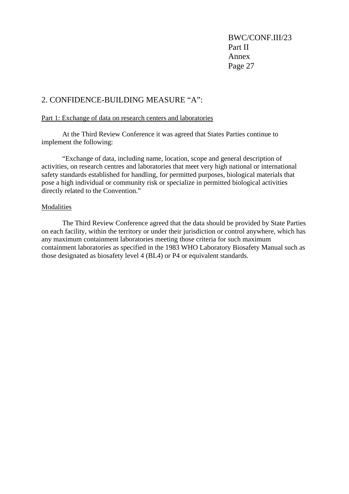## 2. CONFIDENCE-BUILDING MEASURE "A":

### Part 1: Exchange of data on research centers and laboratories

 At the Third Review Conference it was agreed that States Parties continue to implement the following:

 "Exchange of data, including name, location, scope and general description of activities, on research centres and laboratories that meet very high national or international safety standards established for handling, for permitted purposes, biological materials that pose a high individual or community risk or specialize in permitted biological activities directly related to the Convention."

### Modalities

 The Third Review Conference agreed that the data should be provided by State Parties on each facility, within the territory or under their jurisdiction or control anywhere, which has any maximum containment laboratories meeting those criteria for such maximum containment laboratories as specified in the 1983 WHO Laboratory Biosafety Manual such as those designated as biosafety level 4 (BL4) or P4 or equivalent standards.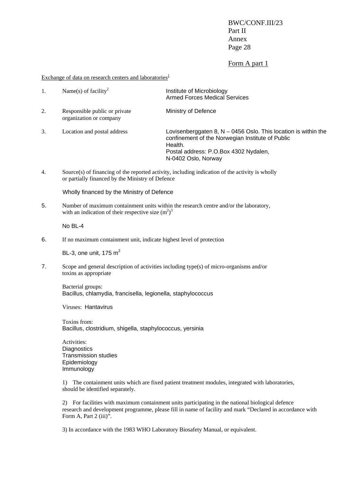#### Form A part 1

Exchange of data on research centers and laboratories<sup>1</sup>

| 1. | Name(s) of facility <sup>2</sup>                         | Institute of Microbiology<br><b>Armed Forces Medical Services</b>                                                                                                                               |
|----|----------------------------------------------------------|-------------------------------------------------------------------------------------------------------------------------------------------------------------------------------------------------|
| 2. | Responsible public or private<br>organization or company | Ministry of Defence                                                                                                                                                                             |
| 3. | Location and postal address                              | Lovisenberggaten 8, $N - 0456$ Oslo. This location is within the<br>confinement of the Norwegian Institute of Public<br>Health.<br>Postal address: P.O.Box 4302 Nydalen,<br>N-0402 Oslo, Norway |

4. Source(s) of financing of the reported activity, including indication of the activity is wholly or partially financed by the Ministry of Defence

Wholly financed by the Ministry of Defence

5. Number of maximum containment units within the research centre and/or the laboratory, with an indication of their respective size  $(m^2)^3$ 

No BL-4

6. If no maximum containment unit, indicate highest level of protection

BL-3, one unit,  $175 \text{ m}^2$ 

7. Scope and general description of activities including type(s) of micro-organisms and/or toxins as appropriate

Bacterial groups: Bacillus, chlamydia, francisella, legionella, staphylococcus

Viruses: Hantavirus

Toxins from: Bacillus, clostridium, shigella, staphylococcus, yersinia

Activities: **Diagnostics** Transmission studies Epidemiology **Immunology** 

1) The containment units which are fixed patient treatment modules, integrated with laboratories, should be identified separately.

2) For facilities with maximum containment units participating in the national biological defence research and development programme, please fill in name of facility and mark "Declared in accordance with Form A, Part 2 (iii)".

3) In accordance with the 1983 WHO Laboratory Biosafety Manual, or equivalent.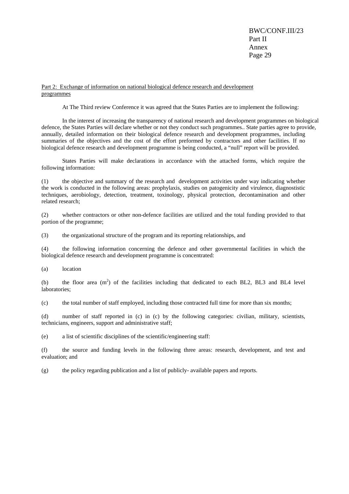#### Part 2: Exchange of information on national biological defence research and development programmes

At The Third review Conference it was agreed that the States Parties are to implement the following:

 In the interest of increasing the transparency of national research and development programmes on biological defence, the States Parties will declare whether or not they conduct such programmes.. State parties agree to provide, annually, detailed information on their biological defence research and development programmes, including summaries of the objectives and the cost of the effort preformed by contractors and other facilities. If no biological defence research and development programme is being conducted, a "null" report will be provided.

 States Parties will make declarations in accordance with the attached forms, which require the following information:

(1) the objective and summary of the research and development activities under way indicating whether the work is conducted in the following areas: prophylaxis, studies on patogenicity and virulence, diagnostistic techniques, aerobiology, detection, treatment, toxinology, physical protection, decontamination and other related research;

(2) whether contractors or other non-defence facilities are utilized and the total funding provided to that portion of the programme;

(3) the organizational structure of the program and its reporting relationships, and

(4) the following information concerning the defence and other governmental facilities in which the biological defence research and development programme is concentrated:

(a) location

(b) the floor area  $(m^2)$  of the facilities including that dedicated to each BL2, BL3 and BL4 level laboratories;

(c) the total number of staff employed, including those contracted full time for more than six months;

(d) number of staff reported in (c) in (c) by the following categories: civilian, military, scientists, technicians, engineers, support and administrative staff;

(e) a list of scientific disciplines of the scientific/engineering staff:

(f) the source and funding levels in the following three areas: research, development, and test and evaluation; and

(g) the policy regarding publication and a list of publicly- available papers and reports.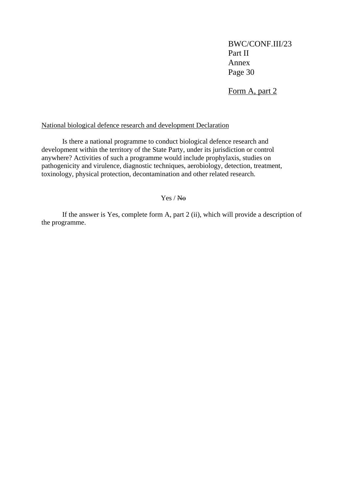Form A, part 2

### National biological defence research and development Declaration

 Is there a national programme to conduct biological defence research and development within the territory of the State Party, under its jurisdiction or control anywhere? Activities of such a programme would include prophylaxis, studies on pathogenicity and virulence, diagnostic techniques, aerobiology, detection, treatment, toxinology, physical protection, decontamination and other related research.

### Yes / No

 If the answer is Yes, complete form A, part 2 (ii), which will provide a description of the programme.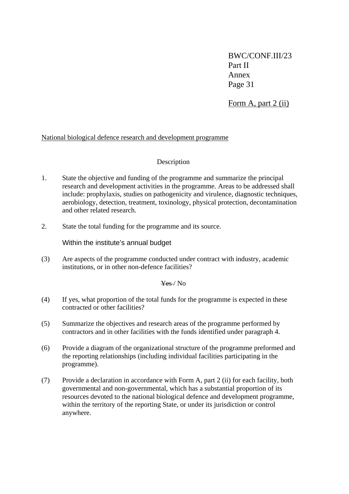Form A, part 2 (ii)

### National biological defence research and development programme

### Description

- 1. State the objective and funding of the programme and summarize the principal research and development activities in the programme. Areas to be addressed shall include: prophylaxis, studies on pathogenicity and virulence, diagnostic techniques, aerobiology, detection, treatment, toxinology, physical protection, decontamination and other related research.
- 2. State the total funding for the programme and its source.

Within the institute's annual budget

(3) Are aspects of the programme conducted under contract with industry, academic institutions, or in other non-defence facilities?

### Yes / No

- (4) If yes, what proportion of the total funds for the programme is expected in these contracted or other facilities?
- (5) Summarize the objectives and research areas of the programme performed by contractors and in other facilities with the funds identified under paragraph 4.
- (6) Provide a diagram of the organizational structure of the programme preformed and the reporting relationships (including individual facilities participating in the programme).
- (7) Provide a declaration in accordance with Form A, part 2 (ii) for each facility, both governmental and non-governmental, which has a substantial proportion of its resources devoted to the national biological defence and development programme, within the territory of the reporting State, or under its jurisdiction or control anywhere.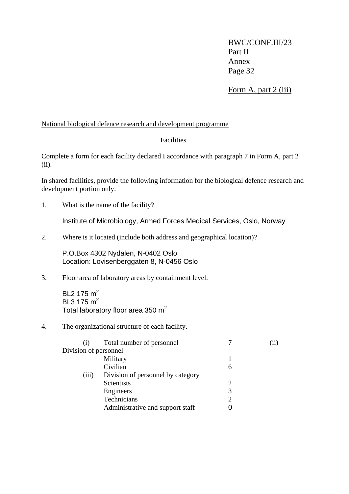Form A, part 2 (iii)

### National biological defence research and development programme

### **Facilities**

Complete a form for each facility declared I accordance with paragraph 7 in Form A, part 2 (ii).

In shared facilities, provide the following information for the biological defence research and development portion only.

1. What is the name of the facility?

Institute of Microbiology, Armed Forces Medical Services, Oslo, Norway

2. Where is it located (include both address and geographical location)?

P.O.Box 4302 Nydalen, N-0402 Oslo Location: Lovisenberggaten 8, N-0456 Oslo

### 3. Floor area of laboratory areas by containment level:

BL2 175 m<sup>2</sup> BL3 175  $m<sup>2</sup>$ Total laboratory floor area 350 m<sup>2</sup>

### 4. The organizational structure of each facility.

| (1)                   | Total number of personnel         |   | $\bf{11}$ |
|-----------------------|-----------------------------------|---|-----------|
| Division of personnel |                                   |   |           |
|                       | Military                          |   |           |
|                       | Civilian                          | 6 |           |
| (iii)                 | Division of personnel by category |   |           |
|                       | Scientists                        |   |           |
|                       | Engineers                         |   |           |
|                       | Technicians                       |   |           |
|                       | Administrative and support staff  |   |           |
|                       |                                   |   |           |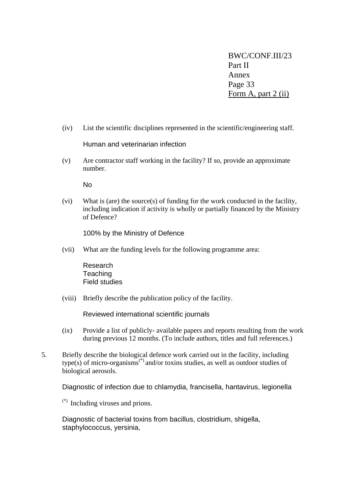BWC/CONF.III/23 Part II Annex Page 33 Form A, part 2 (ii)

(iv) List the scientific disciplines represented in the scientific/engineering staff.

Human and veterinarian infection

(v) Are contractor staff working in the facility? If so, provide an approximate number.

No

(vi) What is (are) the source(s) of funding for the work conducted in the facility, including indication if activity is wholly or partially financed by the Ministry of Defence?

100% by the Ministry of Defence

(vii) What are the funding levels for the following programme area:

 Research **Teaching** Field studies

(viii) Briefly describe the publication policy of the facility.

Reviewed international scientific journals

- (ix) Provide a list of publicly- available papers and reports resulting from the work during previous 12 months. (To include authors, titles and full references.)
- 5. Briefly describe the biological defence work carried out in the facility, including  $type(s)$  of micro-organisms<sup>(\*)</sup> and/or toxins studies, as well as outdoor studies of biological aerosols.

Diagnostic of infection due to chlamydia, francisella, hantavirus, legionella

(\*) Including viruses and prions.

Diagnostic of bacterial toxins from bacillus, clostridium, shigella, staphylococcus, yersinia,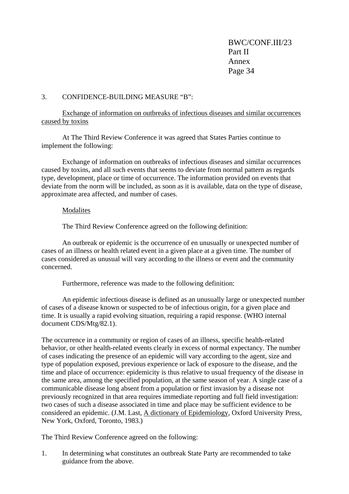### 3. CONFIDENCE-BUILDING MEASURE "B":

Exchange of information on outbreaks of infectious diseases and similar occurrences caused by toxins

 At The Third Review Conference it was agreed that States Parties continue to implement the following:

Exchange of information on outbreaks of infectious diseases and similar occurrences caused by toxins, and all such events that seems to deviate from normal pattern as regards type, development, place or time of occurrence. The information provided on events that deviate from the norm will be included, as soon as it is available, data on the type of disease, approximate area affected, and number of cases.

#### Modalites

The Third Review Conference agreed on the following definition:

 An outbreak or epidemic is the occurrence of en unusually or unexpected number of cases of an illness or health related event in a given place at a given time. The number of cases considered as unusual will vary according to the illness or event and the community concerned.

Furthermore, reference was made to the following definition:

 An epidemic infectious disease is defined as an unusually large or unexpected number of cases of a disease known or suspected to be of infectious origin, for a given place and time. It is usually a rapid evolving situation, requiring a rapid response. (WHO internal document CDS/Mtg/82.1).

The occurrence in a community or region of cases of an illness, specific health-related behavior, or other health-related events clearly in excess of normal expectancy. The number of cases indicating the presence of an epidemic will vary according to the agent, size and type of population exposed, previous experience or lack of exposure to the disease, and the time and place of occurrence: epidemicity is thus relative to usual frequency of the disease in the same area, among the specified population, at the same season of year. A single case of a communicable disease long absent from a population or first invasion by a disease not previously recognized in that area requires immediate reporting and full field investigation: two cases of such a disease associated in time and place may be sufficient evidence to be considered an epidemic. (J.M. Last, A dictionary of Epidemiology, Oxford University Press, New York, Oxford, Toronto, 1983.)

The Third Review Conference agreed on the following:

1. In determining what constitutes an outbreak State Party are recommended to take guidance from the above.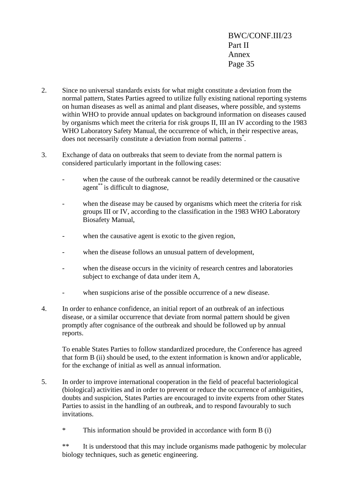- 2. Since no universal standards exists for what might constitute a deviation from the normal pattern, States Parties agreed to utilize fully existing national reporting systems on human diseases as well as animal and plant diseases, where possible, and systems within WHO to provide annual updates on background information on diseases caused by organisms which meet the criteria for risk groups II, III an IV according to the 1983 WHO Laboratory Safety Manual, the occurrence of which, in their respective areas, does not necessarily constitute a deviation from normal patterns\* .
- 3. Exchange of data on outbreaks that seem to deviate from the normal pattern is considered particularly important in the following cases:
	- when the cause of the outbreak cannot be readily determined or the causative agent\*\* is difficult to diagnose.
	- when the disease may be caused by organisms which meet the criteria for risk groups III or IV, according to the classification in the 1983 WHO Laboratory Biosafety Manual,
	- when the causative agent is exotic to the given region,
	- when the disease follows an unusual pattern of development,
	- when the disease occurs in the vicinity of research centres and laboratories subject to exchange of data under item A,
	- when suspicions arise of the possible occurrence of a new disease.
- 4. In order to enhance confidence, an initial report of an outbreak of an infectious disease, or a similar occurrence that deviate from normal pattern should be given promptly after cognisance of the outbreak and should be followed up by annual reports.

To enable States Parties to follow standardized procedure, the Conference has agreed that form B (ii) should be used, to the extent information is known and/or applicable, for the exchange of initial as well as annual information.

- 5. In order to improve international cooperation in the field of peaceful bacteriological (biological) activities and in order to prevent or reduce the occurrence of ambiguities, doubts and suspicion, States Parties are encouraged to invite experts from other States Parties to assist in the handling of an outbreak, and to respond favourably to such invitations.
	- \* This information should be provided in accordance with form B (i)

\*\* It is understood that this may include organisms made pathogenic by molecular biology techniques, such as genetic engineering.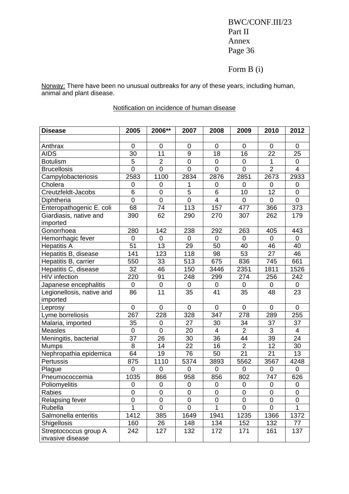## Form B (i)

Norway: There have been no unusual outbreaks for any of these years, including human, animal and plant disease.

## Notification on incidence of human disease

| <b>Disease</b>            | 2005           | 2006**           | 2007             | 2008           | 2009             | 2010             | 2012                    |
|---------------------------|----------------|------------------|------------------|----------------|------------------|------------------|-------------------------|
|                           |                |                  |                  |                |                  |                  |                         |
| Anthrax                   | $\mathbf 0$    | $\boldsymbol{0}$ | 0                | 0              | 0                | $\mathbf 0$      | 0                       |
| <b>AIDS</b>               | 30             | 11               | $\boldsymbol{9}$ | 18             | 16               | 22               | 25                      |
| <b>Botulism</b>           | $\overline{5}$ | $\overline{2}$   | $\overline{0}$   | $\mathbf 0$    | $\mathbf 0$      | 1                | 0                       |
| <b>Brucellosis</b>        | $\overline{0}$ | $\overline{0}$   | $\overline{0}$   | $\overline{0}$ | $\mathbf 0$      | $\overline{2}$   | $\overline{\mathbf{4}}$ |
| Campylobacteriosis        | 2583           | 1100             | 2834             | 2876           | 2851             | 2673             | 2933                    |
| Cholera                   | 0              | 0                | 1                | 0              | 0                | $\mathbf 0$      | 0                       |
| Creutzfeldt-Jacobs        | 6              | $\mathsf 0$      | $\overline{5}$   | 6              | 10               | 12               | $\mathbf 0$             |
| Diphtheria                | $\mathbf 0$    | $\mathbf 0$      | 0                | $\overline{4}$ | $\mathbf 0$      | $\mathbf 0$      | $\mathbf 0$             |
| Enteropathogenic E. coli  | 68             | 74               | 113              | 157            | 477              | 366              | 373                     |
| Giardiasis, native and    | 390            | 62               | 290              | 270            | 307              | 262              | 179                     |
| imported                  |                |                  |                  |                |                  |                  |                         |
| Gonorrhoea                | 280            | 142              | 238              | 292            | 263              | 405              | 443                     |
| Hemorrhagic fever         | $\mathbf 0$    | $\mathbf 0$      | $\mathbf 0$      | 0              | 0                | 0                | 0                       |
| <b>Hepatitis A</b>        | 51             | 13               | 29               | 50             | 40               | 46               | 40                      |
| Hepatitis B, disease      | 141            | 123              | 118              | 98             | 53               | 27               | 46                      |
| Hepatitis B, carrier      | 550            | 33               | 513              | 675            | 836              | 745              | 661                     |
| Hepatitis C, disease      | 32             | 46               | 150              | 3446           | 2351             | 1811             | 1526                    |
| <b>HIV</b> infection      | 220            | 91               | 248              | 299            | 274              | 256              | 242                     |
| Japanese encephalitis     | $\mathbf 0$    | $\mathbf 0$      | 0                | 0              | 0                | 0                | 0                       |
| Legionellosis, native and | 86             | 11               | 35               | 41             | 35               | 48               | 23                      |
| imported                  |                |                  |                  |                |                  |                  |                         |
| Leprosy                   | $\mathbf 0$    | $\mathbf 0$      | $\pmb{0}$        | 0              | $\boldsymbol{0}$ | $\boldsymbol{0}$ | 0                       |
| Lyme borreliosis          | 267            | 228              | 328              | 347            | 278              | 289              | 255                     |
| Malaria, imported         | 35             | $\boldsymbol{0}$ | 27               | 30             | 34               | 37               | 37                      |
| Measles                   | $\mathbf 0$    | $\mathbf 0$      | 20               | $\overline{4}$ | $\overline{2}$   | 3                | $\overline{4}$          |
| Meningitis, bacterial     | 37             | 26               | 30               | 36             | 44               | 39               | 24                      |
| <b>Mumps</b>              | 8              | 14               | 22               | 16             | $\overline{2}$   | 12               | 30                      |
| Nephropathia epidemica    | 64             | 19               | 76               | 50             | 21               | 21               | 13                      |
| Pertussis                 | 875            | 1110             | 5374             | 3893           | 5562             | 3567             | 4248                    |
| Plague                    | $\overline{0}$ | $\mathbf 0$      | $\mathbf 0$      | 0              | $\mathbf 0$      | 0                | 0                       |
| Pneumococcemia            | 1035           | 866              | 958              | 856            | 802              | 747              | 626                     |
| Poliomyelitis             | $\mathbf 0$    | $\mathbf 0$      | $\mathbf 0$      | 0              | $\mathbf 0$      | $\mathbf 0$      | $\mathbf 0$             |
| Rabies                    | 0              | 0                | 0                | 0              | 0                | 0                | 0                       |
| Relapsing fever           | $\mathbf 0$    | 0                | 0                | $\overline{0}$ | 0                | 0                | 0                       |
| Rubella                   | 1              | 0                | 0                | 1              | 0                | 0                | 1                       |
| Salmonella enteritis      | 1412           | 385              | 1649             | 1941           | 1235             | 1366             | 1372                    |
| Shigellosis               | 160            | 26               | 148              | 134            | 152              | 132              | 77                      |
| Streptococcus group A     | 242            | 127              | 132              | 172            | 171              | 161              | 137                     |
| invasive disease          |                |                  |                  |                |                  |                  |                         |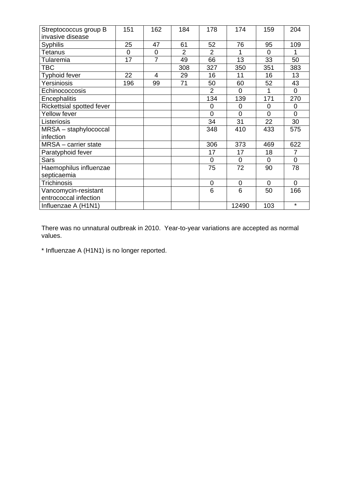| Streptococcus group B     | 151 | 162            | 184            | 178            | 174         | 159            | 204            |
|---------------------------|-----|----------------|----------------|----------------|-------------|----------------|----------------|
| invasive disease          |     |                |                |                |             |                |                |
| <b>Syphilis</b>           | 25  | 47             | 61             | 52             | 76          | 95             | 109            |
| Tetanus                   | 0   | 0              | $\overline{2}$ | $\overline{2}$ |             | $\Omega$       |                |
| Tularemia                 | 17  | $\overline{7}$ | 49             | 66             | 13          | 33             | 50             |
| TBC                       |     |                | 308            | 327            | 350         | 351            | 383            |
| <b>Typhoid fever</b>      | 22  | $\overline{4}$ | 29             | 16             | 11          | 16             | 13             |
| Yersiniosis               | 196 | 99             | 71             | 50             | 60          | 52             | 43             |
| Echinococcosis            |     |                |                | 2              | $\Omega$    | 1              | 0              |
| Encephalitis              |     |                |                | 134            | 139         | 171            | 270            |
| Rickettsial spotted fever |     |                |                | 0              | $\Omega$    | $\Omega$       | $\overline{0}$ |
| Yellow fever              |     |                |                | 0              | $\Omega$    | $\overline{0}$ | $\overline{0}$ |
| Listeriosis               |     |                |                | 34             | 31          | 22             | 30             |
| MRSA - staphylococcal     |     |                |                | 348            | 410         | 433            | 575            |
| infection                 |     |                |                |                |             |                |                |
| MRSA - carrier state      |     |                |                | 306            | 373         | 469            | 622            |
| Paratyphoid fever         |     |                |                | 17             | 17          | 18             | 7              |
| <b>Sars</b>               |     |                |                | 0              | $\Omega$    | $\Omega$       | 0              |
| Haemophilus influenzae    |     |                |                | 75             | 72          | 90             | 78             |
| septicaemia               |     |                |                |                |             |                |                |
| Trichinosis               |     |                |                | $\mathbf 0$    | $\mathbf 0$ | $\overline{0}$ | $\overline{0}$ |
| Vancomycin-resistant      |     |                |                | 6              | 6           | 50             | 166            |
| entrococcal infection     |     |                |                |                |             |                |                |
| Influenzae A (H1N1)       |     |                |                |                | 12490       | 103            | $\star$        |

There was no unnatural outbreak in 2010. Year-to-year variations are accepted as normal values.

\* Influenzae A (H1N1) is no longer reported.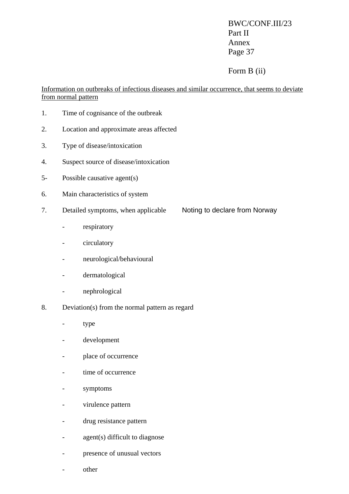## Form B (ii)

Information on outbreaks of infectious diseases and similar occurrence, that seems to deviate from normal pattern

- 1. Time of cognisance of the outbreak
- 2. Location and approximate areas affected
- 3. Type of disease/intoxication
- 4. Suspect source of disease/intoxication
- 5- Possible causative agent(s)
- 6. Main characteristics of system
- 7. Detailed symptoms, when applicable Noting to declare from Norway
	- respiratory
	- circulatory
	- neurological/behavioural
	- dermatological
	- nephrological
- 8. Deviation(s) from the normal pattern as regard
	- type
	- development
	- place of occurrence
	- time of occurrence
	- symptoms
	- virulence pattern
	- drug resistance pattern
	- agent(s) difficult to diagnose
	- presence of unusual vectors
	- other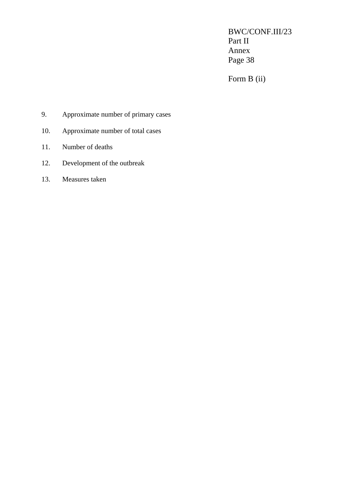Form B (ii)

- 9. Approximate number of primary cases
- 10. Approximate number of total cases
- 11. Number of deaths
- 12. Development of the outbreak
- 13. Measures taken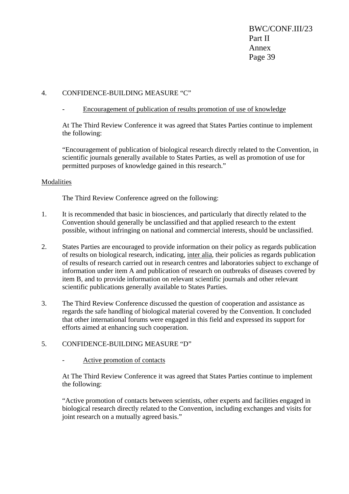### 4. CONFIDENCE-BUILDING MEASURE "C"

### - Encouragement of publication of results promotion of use of knowledge

At The Third Review Conference it was agreed that States Parties continue to implement the following:

"Encouragement of publication of biological research directly related to the Convention, in scientific journals generally available to States Parties, as well as promotion of use for permitted purposes of knowledge gained in this research."

### Modalities

The Third Review Conference agreed on the following:

- 1. It is recommended that basic in biosciences, and particularly that directly related to the Convention should generally be unclassified and that applied research to the extent possible, without infringing on national and commercial interests, should be unclassified.
- 2. States Parties are encouraged to provide information on their policy as regards publication of results on biological research, indicating, inter alia, their policies as regards publication of results of research carried out in research centres and laboratories subject to exchange of information under item A and publication of research on outbreaks of diseases covered by item B, and to provide information on relevant scientific journals and other relevant scientific publications generally available to States Parties.
- 3. The Third Review Conference discussed the question of cooperation and assistance as regards the safe handling of biological material covered by the Convention. It concluded that other international forums were engaged in this field and expressed its support for efforts aimed at enhancing such cooperation.
- 5. CONFIDENCE-BUILDING MEASURE "D"
	- Active promotion of contacts

At The Third Review Conference it was agreed that States Parties continue to implement the following:

"Active promotion of contacts between scientists, other experts and facilities engaged in biological research directly related to the Convention, including exchanges and visits for joint research on a mutually agreed basis."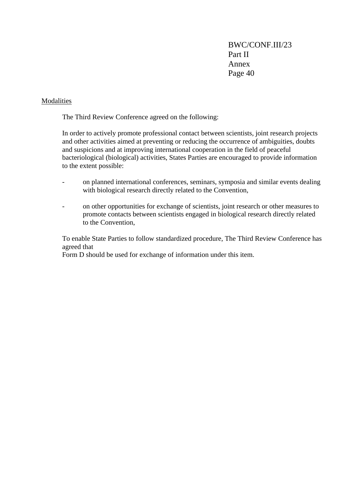### Modalities

The Third Review Conference agreed on the following:

In order to actively promote professional contact between scientists, joint research projects and other activities aimed at preventing or reducing the occurrence of ambiguities, doubts and suspicions and at improving international cooperation in the field of peaceful bacteriological (biological) activities, States Parties are encouraged to provide information to the extent possible:

- on planned international conferences, seminars, symposia and similar events dealing with biological research directly related to the Convention,
- on other opportunities for exchange of scientists, joint research or other measures to promote contacts between scientists engaged in biological research directly related to the Convention,

To enable State Parties to follow standardized procedure, The Third Review Conference has agreed that

Form D should be used for exchange of information under this item.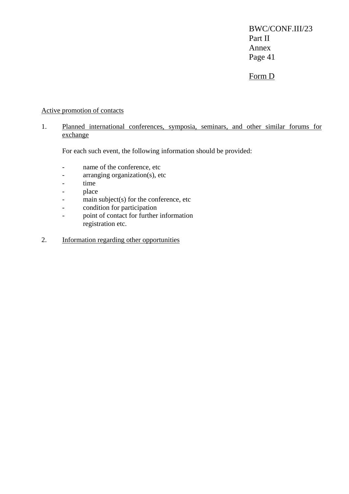## Form D

### Active promotion of contacts

### 1. Planned international conferences, symposia, seminars, and other similar forums for exchange

For each such event, the following information should be provided:

- name of the conference, etc
- arranging organization(s), etc
- time
- place
- main subject(s) for the conference, etc
- condition for participation
- point of contact for further information registration etc.
- 2. Information regarding other opportunities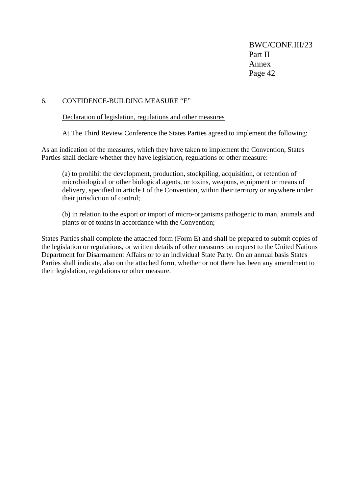### 6. CONFIDENCE-BUILDING MEASURE "E"

Declaration of legislation, regulations and other measures

At The Third Review Conference the States Parties agreed to implement the following:

As an indication of the measures, which they have taken to implement the Convention, States Parties shall declare whether they have legislation, regulations or other measure:

(a) to prohibit the development, production, stockpiling, acquisition, or retention of microbiological or other biological agents, or toxins, weapons, equipment or means of delivery, specified in article I of the Convention, within their territory or anywhere under their jurisdiction of control;

(b) in relation to the export or import of micro-organisms pathogenic to man, animals and plants or of toxins in accordance with the Convention;

States Parties shall complete the attached form (Form E) and shall be prepared to submit copies of the legislation or regulations, or written details of other measures on request to the United Nations Department for Disarmament Affairs or to an individual State Party. On an annual basis States Parties shall indicate, also on the attached form, whether or not there has been any amendment to their legislation, regulations or other measure.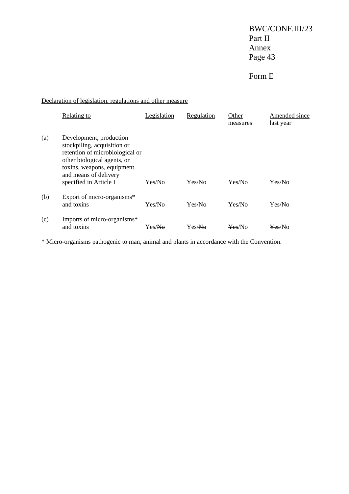# Form E

Declaration of legislation, regulations and other measure

|     | <b>Relating to</b>                                                                                                                                                                                        | Legislation | Regulation | Other<br>measures | Amended since<br>last year |
|-----|-----------------------------------------------------------------------------------------------------------------------------------------------------------------------------------------------------------|-------------|------------|-------------------|----------------------------|
| (a) | Development, production<br>stockpiling, acquisition or<br>retention of microbiological or<br>other biological agents, or<br>toxins, weapons, equipment<br>and means of delivery<br>specified in Article I | Yes/No      | Yes/Na     | Yes/No            | Yes/No                     |
| (b) | Export of micro-organisms*<br>and toxins                                                                                                                                                                  | Yes/No      | Yes/No     | Yes/No            | Yes/No                     |
| (c) | Imports of micro-organisms*<br>and toxins                                                                                                                                                                 | Yes/No      | Yes/No     | Yes/No            | <del>Yes</del> /No         |

\* Micro-organisms pathogenic to man, animal and plants in accordance with the Convention.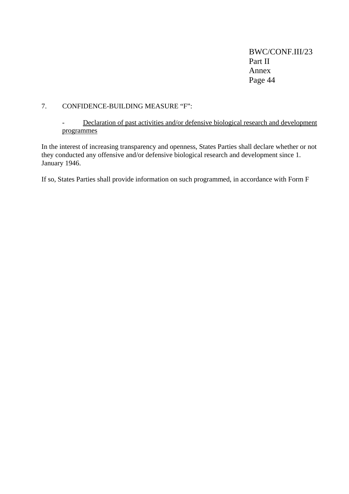### 7. CONFIDENCE-BUILDING MEASURE "F":

### - Declaration of past activities and/or defensive biological research and development programmes

In the interest of increasing transparency and openness, States Parties shall declare whether or not they conducted any offensive and/or defensive biological research and development since 1. January 1946.

If so, States Parties shall provide information on such programmed, in accordance with Form F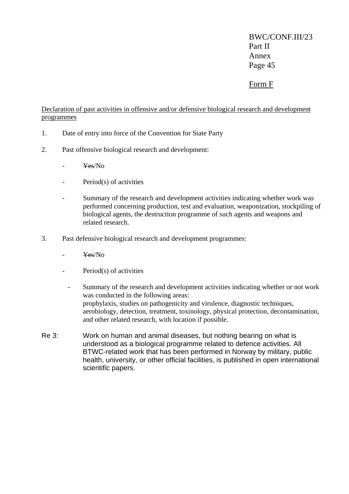## Form F

Declaration of past activities in offensive and/or defensive biological research and development programmes

- 1. Date of entry into force of the Convention for State Party
- 2. Past offensive biological research and development:
	- Yes/No
	- Period(s) of activities
	- Summary of the research and development activities indicating whether work was performed concerning production, test and evaluation, weaponization, stockpiling of biological agents, the destruction programme of such agents and weapons and related research.
- 3. Past defensive biological research and development programmes:
	- Yes/No
	- Period(s) of activities
	- Summary of the research and development activities indicating whether or not work was conducted in the following areas: prophylaxis, studies on pathogenicity and virulence, diagnostic techniques, aerobiology, detection, treatment, toxinology, physical protection, decontamination, and other related research, with location if possible.
- Re 3: Work on human and animal diseases, but nothing bearing on what is understood as a biological programme related to defence activities. All BTWC-related work that has been performed in Norway by military, public health, university, or other official facilities, is published in open international scientific papers.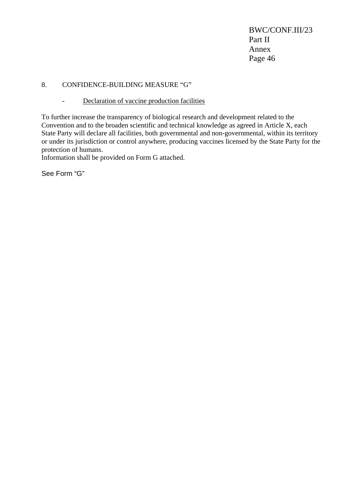### 8. CONFIDENCE-BUILDING MEASURE "G"

- Declaration of vaccine production facilities

To further increase the transparency of biological research and development related to the Convention and to the broaden scientific and technical knowledge as agreed in Article X, each State Party will declare all facilities, both governmental and non-governmental, within its territory or under its jurisdiction or control anywhere, producing vaccines licensed by the State Party for the protection of humans.

Information shall be provided on Form G attached.

See Form "G"